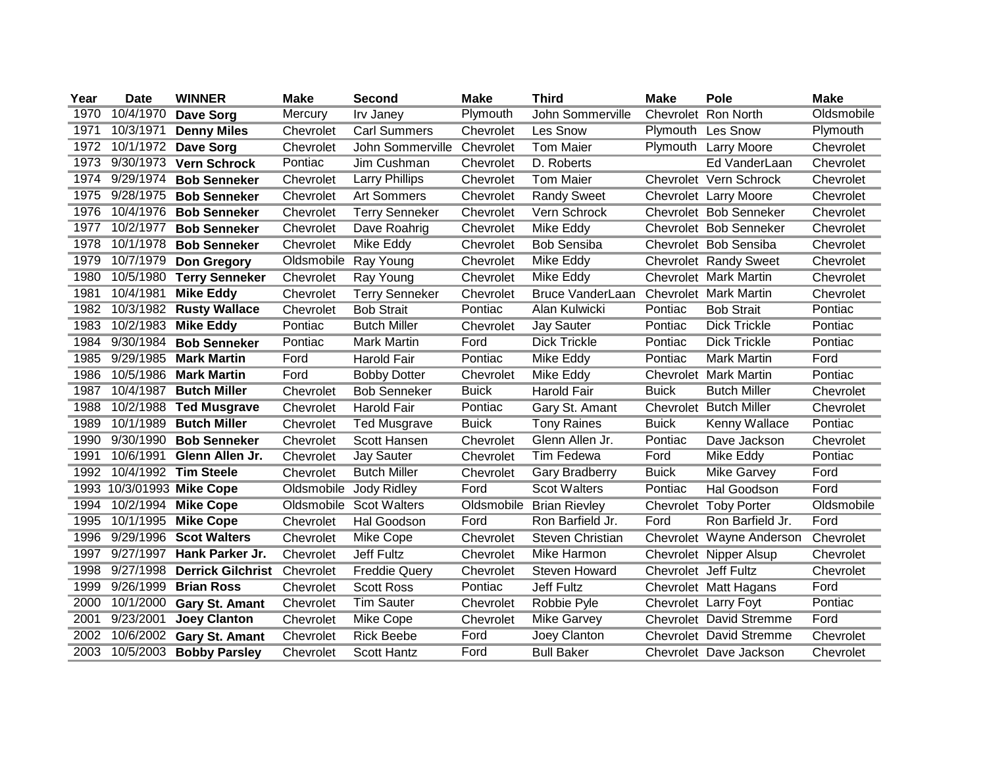| Year | <b>Date</b> | <b>WINNER</b>             | <b>Make</b> | <b>Second</b>              | <b>Make</b>  | <b>Third</b>            | <b>Make</b>          | Pole                           | <b>Make</b> |
|------|-------------|---------------------------|-------------|----------------------------|--------------|-------------------------|----------------------|--------------------------------|-------------|
| 1970 | 10/4/1970   | Dave Sorg                 | Mercury     | Irv Janey                  | Plymouth     | John Sommerville        |                      | Chevrolet Ron North            | Oldsmobile  |
| 1971 | 10/3/1971   | <b>Denny Miles</b>        | Chevrolet   | <b>Carl Summers</b>        | Chevrolet    | Les Snow                |                      | Plymouth Les Snow              | Plymouth    |
| 1972 |             | 10/1/1972 Dave Sorg       | Chevrolet   | John Sommerville Chevrolet |              | <b>Tom Maier</b>        |                      | Plymouth Larry Moore           | Chevrolet   |
| 1973 | 9/30/1973   | <b>Vern Schrock</b>       | Pontiac     | Jim Cushman                | Chevrolet    | D. Roberts              |                      | Ed VanderLaan                  | Chevrolet   |
| 1974 | 9/29/1974   | <b>Bob Senneker</b>       | Chevrolet   | <b>Larry Phillips</b>      | Chevrolet    | <b>Tom Maier</b>        |                      | Chevrolet Vern Schrock         | Chevrolet   |
| 1975 | 9/28/1975   | <b>Bob Senneker</b>       | Chevrolet   | <b>Art Sommers</b>         | Chevrolet    | <b>Randy Sweet</b>      |                      | Chevrolet Larry Moore          | Chevrolet   |
| 1976 | 10/4/1976   | <b>Bob Senneker</b>       | Chevrolet   | Terry Senneker             | Chevrolet    | Vern Schrock            |                      | Chevrolet Bob Senneker         | Chevrolet   |
| 1977 | 10/2/1977   | <b>Bob Senneker</b>       | Chevrolet   | Dave Roahrig               | Chevrolet    | Mike Eddy               |                      | Chevrolet Bob Senneker         | Chevrolet   |
| 1978 | 10/1/1978   | <b>Bob Senneker</b>       | Chevrolet   | Mike Eddy                  | Chevrolet    | <b>Bob Sensiba</b>      |                      | Chevrolet Bob Sensiba          | Chevrolet   |
| 1979 | 10/7/1979   | <b>Don Gregory</b>        | Oldsmobile  | Ray Young                  | Chevrolet    | Mike Eddy               |                      | Chevrolet Randy Sweet          | Chevrolet   |
| 1980 | 10/5/1980   | <b>Terry Senneker</b>     | Chevrolet   | Ray Young                  | Chevrolet    | Mike Eddy               |                      | Chevrolet Mark Martin          | Chevrolet   |
| 1981 | 10/4/1981   | <b>Mike Eddy</b>          | Chevrolet   | <b>Terry Senneker</b>      | Chevrolet    | <b>Bruce VanderLaan</b> |                      | Chevrolet Mark Martin          | Chevrolet   |
| 1982 |             | 10/3/1982 Rusty Wallace   | Chevrolet   | <b>Bob Strait</b>          | Pontiac      | Alan Kulwicki           | Pontiac              | <b>Bob Strait</b>              | Pontiac     |
| 1983 |             | 10/2/1983 Mike Eddy       | Pontiac     | <b>Butch Miller</b>        | Chevrolet    | <b>Jay Sauter</b>       | Pontiac              | <b>Dick Trickle</b>            | Pontiac     |
| 1984 |             | 9/30/1984 Bob Senneker    | Pontiac     | <b>Mark Martin</b>         | Ford         | <b>Dick Trickle</b>     | Pontiac              | <b>Dick Trickle</b>            | Pontiac     |
| 1985 | 9/29/1985   | <b>Mark Martin</b>        | Ford        | <b>Harold Fair</b>         | Pontiac      | Mike Eddy               | Pontiac              | <b>Mark Martin</b>             | Ford        |
| 1986 |             | 10/5/1986 Mark Martin     | Ford        | <b>Bobby Dotter</b>        | Chevrolet    | Mike Eddy               |                      | Chevrolet Mark Martin          | Pontiac     |
| 1987 | 10/4/1987   | <b>Butch Miller</b>       | Chevrolet   | <b>Bob Senneker</b>        | <b>Buick</b> | <b>Harold Fair</b>      | <b>Buick</b>         | <b>Butch Miller</b>            | Chevrolet   |
| 1988 | 10/2/1988   | <b>Ted Musgrave</b>       | Chevrolet   | <b>Harold Fair</b>         | Pontiac      | Gary St. Amant          |                      | Chevrolet Butch Miller         | Chevrolet   |
| 1989 | 10/1/1989   | <b>Butch Miller</b>       | Chevrolet   | <b>Ted Musgrave</b>        | <b>Buick</b> | <b>Tony Raines</b>      | <b>Buick</b>         | Kenny Wallace                  | Pontiac     |
| 1990 | 9/30/1990   | <b>Bob Senneker</b>       | Chevrolet   | Scott Hansen               | Chevrolet    | Glenn Allen Jr.         | Pontiac              | Dave Jackson                   | Chevrolet   |
| 1991 | 10/6/1991   | Glenn Allen Jr.           | Chevrolet   | <b>Jay Sauter</b>          | Chevrolet    | <b>Tim Fedewa</b>       | Ford                 | Mike Eddy                      | Pontiac     |
| 1992 |             | 10/4/1992 Tim Steele      | Chevrolet   | <b>Butch Miller</b>        | Chevrolet    | Gary Bradberry          | <b>Buick</b>         | <b>Mike Garvey</b>             | Ford        |
|      |             | 1993 10/3/01993 Mike Cope | Oldsmobile  | <b>Jody Ridley</b>         | Ford         | <b>Scot Walters</b>     | Pontiac              | Hal Goodson                    | Ford        |
| 1994 |             | 10/2/1994 Mike Cope       |             | Oldsmobile Scot Walters    | Oldsmobile   | <b>Brian Rievley</b>    |                      | Chevrolet Toby Porter          | Oldsmobile  |
| 1995 | 10/1/1995   | <b>Mike Cope</b>          | Chevrolet   | Hal Goodson                | Ford         | Ron Barfield Jr.        | Ford                 | Ron Barfield Jr.               | Ford        |
| 1996 |             | 9/29/1996 Scot Walters    | Chevrolet   | Mike Cope                  | Chevrolet    | Steven Christian        |                      | Chevrolet Wayne Anderson       | Chevrolet   |
| 1997 | 9/27/1997   | Hank Parker Jr.           | Chevrolet   | Jeff Fultz                 | Chevrolet    | Mike Harmon             |                      | Chevrolet Nipper Alsup         | Chevrolet   |
| 1998 | 9/27/1998   | <b>Derrick Gilchrist</b>  | Chevrolet   | <b>Freddie Query</b>       | Chevrolet    | Steven Howard           | Chevrolet Jeff Fultz |                                | Chevrolet   |
| 1999 | 9/26/1999   | <b>Brian Ross</b>         | Chevrolet   | <b>Scott Ross</b>          | Pontiac      | <b>Jeff Fultz</b>       |                      | Chevrolet Matt Hagans          | Ford        |
| 2000 | 10/1/2000   | <b>Gary St. Amant</b>     | Chevrolet   | <b>Tim Sauter</b>          | Chevrolet    | Robbie Pyle             |                      | Chevrolet Larry Foyt           | Pontiac     |
| 2001 | 9/23/2001   | <b>Joey Clanton</b>       | Chevrolet   | Mike Cope                  | Chevrolet    | <b>Mike Garvey</b>      |                      | <b>Chevrolet David Stremme</b> | Ford        |
| 2002 | 10/6/2002   | <b>Gary St. Amant</b>     | Chevrolet   | <b>Rick Beebe</b>          | Ford         | Joey Clanton            |                      | <b>Chevrolet David Stremme</b> | Chevrolet   |
| 2003 |             | 10/5/2003 Bobby Parsley   | Chevrolet   | <b>Scott Hantz</b>         | Ford         | <b>Bull Baker</b>       |                      | Chevrolet Dave Jackson         | Chevrolet   |